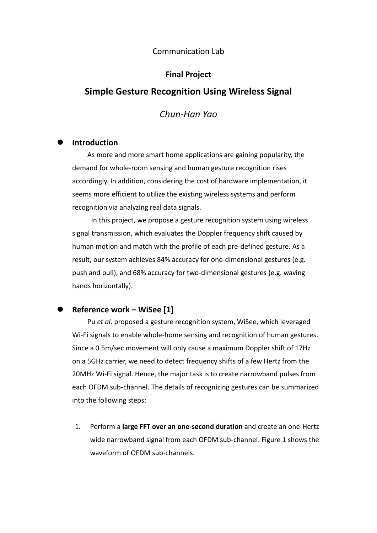### Communication Lab

## **Final Project**

# **Simple Gesture Recognition Using Wireless Signal**

## *Chun-Han Yao*

#### **Introduction**

As more and more smart home applications are gaining popularity, the demand for whole-room sensing and human gesture recognition rises accordingly. In addition, considering the cost of hardware implementation, it seems more efficient to utilize the existing wireless systems and perform recognition via analyzing real data signals.

In this project, we propose a gesture recognition system using wireless signal transmission, which evaluates the Doppler frequency shift caused by human motion and match with the profile of each pre-defined gesture. As a result, our system achieves 84% accuracy for one-dimensional gestures (e.g. push and pull), and 68% accuracy for two-dimensional gestures (e.g. waving hands horizontally).

#### **Reference work – WiSee [1]**

Pu *et al*. proposed a gesture recognition system, WiSee, which leveraged Wi-Fi signals to enable whole-home sensing and recognition of human gestures. Since a 0.5m/sec movement will only cause a maximum Doppler shift of 17Hz on a 5GHz carrier, we need to detect frequency shifts of a few Hertz from the 20MHz Wi-Fi signal. Hence, the major task is to create narrowband pulses from each OFDM sub-channel. The details of recognizing gestures can be summarized into the following steps:

1. Perform a **large FFT over an one-second duration** and create an one-Hertz wide narrowband signal from each OFDM sub-channel. Figure 1 shows the waveform of OFDM sub-channels.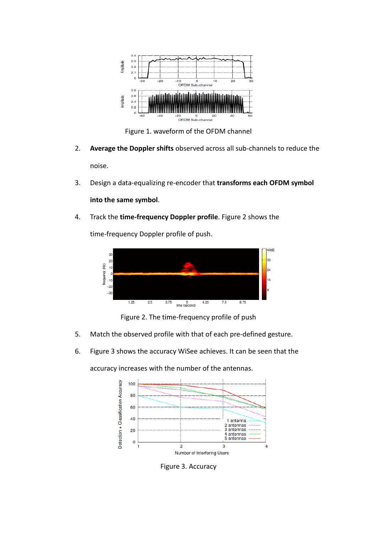

Figure 1. waveform of the OFDM channel

- 2. **Average the Doppler shifts** observed across all sub-channels to reduce the noise.
- 3. Design a data-equalizing re-encoder that **transforms each OFDM symbol**

**into the same symbol**.

4. Track the **time-frequency Doppler profile**. Figure 2 shows the

time-frequency Doppler profile of push.



Figure 2. The time-frequency profile of push

- 5. Match the observed profile with that of each pre-defined gesture.
- 6. Figure 3 shows the accuracy WiSee achieves. It can be seen that the

accuracy increases with the number of the antennas.



Figure 3. Accuracy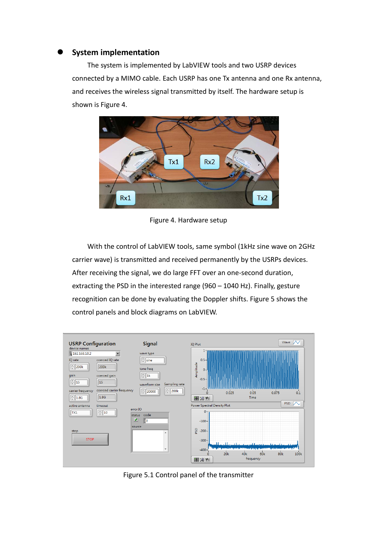### **System implementation**

The system is implemented by LabVIEW tools and two USRP devices connected by a MIMO cable. Each USRP has one Tx antenna and one Rx antenna, and receives the wireless signal transmitted by itself. The hardware setup is shown is Figure 4.



Figure 4. Hardware setup

With the control of LabVIEW tools, same symbol (1kHz sine wave on 2GHz carrier wave) is transmitted and received permanently by the USRPs devices. After receiving the signal, we do large FFT over an one-second duration, extracting the PSD in the interested range (960 – 1040 Hz). Finally, gesture recognition can be done by evaluating the Doppler shifts. Figure 5 shows the control panels and block diagrams on LabVIEW.



Figure 5.1 Control panel of the transmitter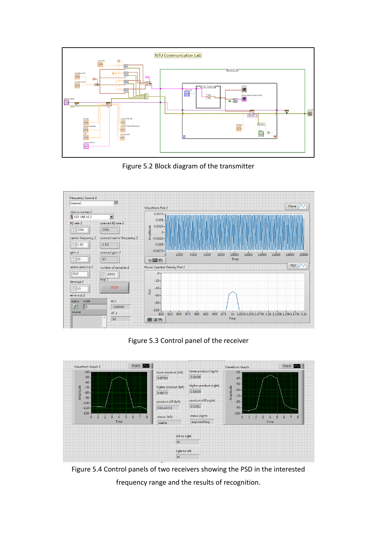

Figure 5.2 Block diagram of the transmitter



Figure 5.3 Control panel of the receiver



Figure 5.4 Control panels of two receivers showing the PSD in the interested frequency range and the results of recognition.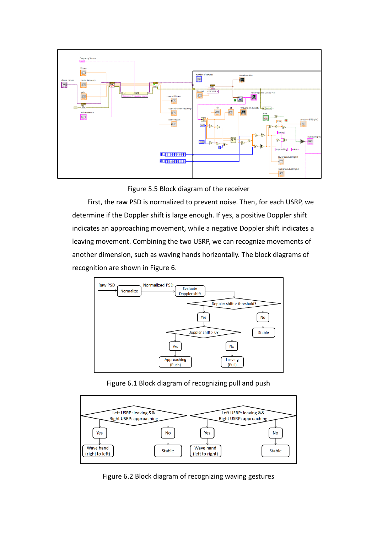

Figure 5.5 Block diagram of the receiver

First, the raw PSD is normalized to prevent noise. Then, for each USRP, we determine if the Doppler shift is large enough. If yes, a positive Doppler shift indicates an approaching movement, while a negative Doppler shift indicates a leaving movement. Combining the two USRP, we can recognize movements of another dimension, such as waving hands horizontally. The block diagrams of recognition are shown in Figure 6.



Figure 6.1 Block diagram of recognizing pull and push



Figure 6.2 Block diagram of recognizing waving gestures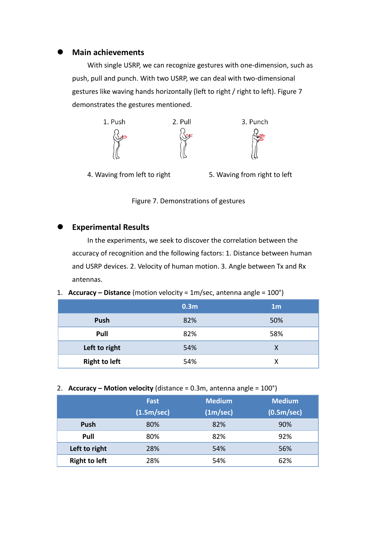#### **Main achievements**

With single USRP, we can recognize gestures with one-dimension, such as push, pull and punch. With two USRP, we can deal with two-dimensional gestures like waving hands horizontally (left to right / right to left). Figure 7 demonstrates the gestures mentioned.



4. Waving from left to right 5. Waving from right to left

Figure 7. Demonstrations of gestures

## **Experimental Results**

In the experiments, we seek to discover the correlation between the accuracy of recognition and the following factors: 1. Distance between human and USRP devices. 2. Velocity of human motion. 3. Angle between Tx and Rx antennas.

### 1. **Accuracy – Distance** (motion velocity = 1m/sec, antenna angle = 100°)

|                      | 0.3 <sub>m</sub> | 1 <sub>m</sub> |
|----------------------|------------------|----------------|
| Push                 | 82%              | 50%            |
| Pull                 | 82%              | 58%            |
| Left to right        | 54%              | Χ              |
| <b>Right to left</b> | 54%              | χ              |

2. **Accuracy – Motion velocity** (distance = 0.3m, antenna angle = 100°)

|                      | <b>Fast</b><br>(1.5m/sec) | <b>Medium</b><br>(1m/sec) | <b>Medium</b><br>(0.5m/sec) |
|----------------------|---------------------------|---------------------------|-----------------------------|
| Push                 | 80%                       | 82%                       | 90%                         |
| Pull                 | 80%                       | 82%                       | 92%                         |
| Left to right        | 28%                       | 54%                       | 56%                         |
| <b>Right to left</b> | 28%                       | 54%                       | 62%                         |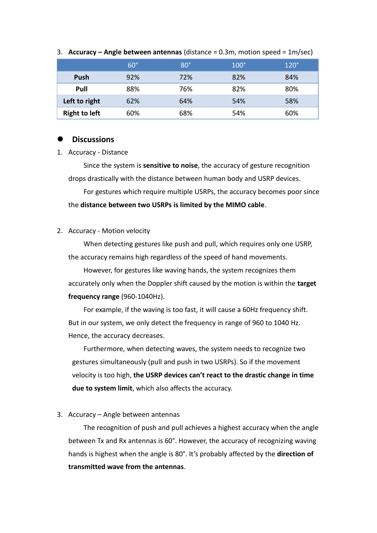|                      | $60^\circ$ | $80^\circ$ | $100^\circ$ | $120^\circ$ |
|----------------------|------------|------------|-------------|-------------|
| Push                 | 92%        | 72%        | 82%         | 84%         |
| Pull                 | 88%        | 76%        | 82%         | 80%         |
| Left to right        | 62%        | 64%        | 54%         | 58%         |
| <b>Right to left</b> | 60%        | 68%        | 54%         | 60%         |

3. **Accuracy – Angle between antennas** (distance = 0.3m, motion speed = 1m/sec)

### **Discussions**

#### 1. Accuracy - Distance

Since the system is **sensitive to noise**, the accuracy of gesture recognition drops drastically with the distance between human body and USRP devices. For gestures which require multiple USRPs, the accuracy becomes poor since the **distance between two USRPs is limited by the MIMO cable**.

### 2. Accuracy - Motion velocity

When detecting gestures like push and pull, which requires only one USRP, the accuracy remains high regardless of the speed of hand movements.

However, for gestures like waving hands, the system recognizes them accurately only when the Doppler shift caused by the motion is within the **target frequency range** (960-1040Hz).

For example, if the waving is too fast, it will cause a 60Hz frequency shift. But in our system, we only detect the frequency in range of 960 to 1040 Hz. Hence, the accuracy decreases.

Furthermore, when detecting waves, the system needs to recognize two gestures simultaneously (pull and push in two USRPs). So if the movement velocity is too high, **the USRP devices can't react to the drastic change in time due to system limit**, which also affects the accuracy.

### 3. Accuracy – Angle between antennas

The recognition of push and pull achieves a highest accuracy when the angle between Tx and Rx antennas is 60°. However, the accuracy of recognizing waving hands is highest when the angle is 80°. It's probably affected by the **direction of transmitted wave from the antennas**.